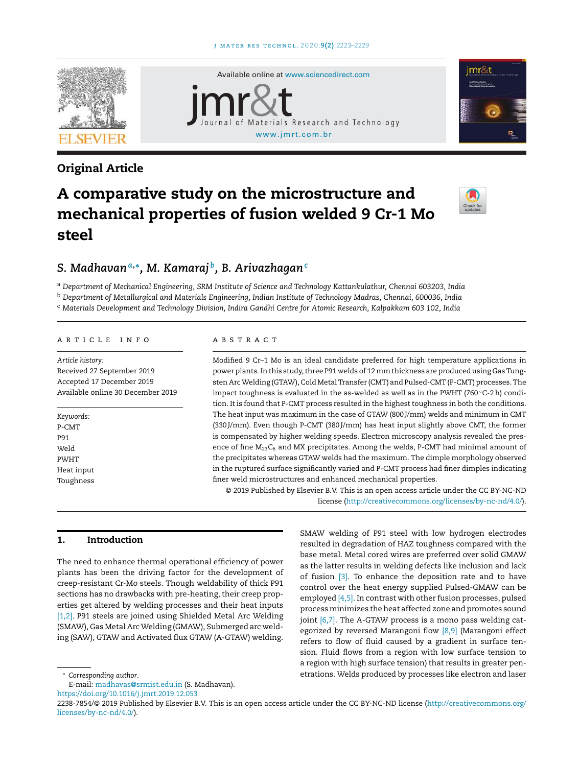

# Original Article





# A comparative study on the microstructure and mechanical properties of fusion welded 9 Cr-1 Mo steel



# *S. Madhavan<sup>a</sup>*,<sup>∗</sup> *, M. Kamaraj <sup>b</sup> , B. Arivazhagan<sup>c</sup>*

<sup>a</sup> *Department of Mechanical Engineering, SRM Institute of Science and Technology Kattankulathur, Chennai 603203, India* <sup>b</sup> *Department of Metallurgical and Materials Engineering, Indian Institute of Technology Madras, Chennai, 600036, India* <sup>c</sup> *Materials Development and Technology Division, Indira Gandhi Centre for Atomic Research, Kalpakkam 603 102, India*

#### ARTICLE INFO

*Article history:* Received 27 September 2019 Accepted 17 December 2019 Available online 30 December 2019

*Keywords:* P-CMT P91 Weld PWHT Heat input Toughness

#### a b s t r a c t

Modified 9 Cr–1 Mo is an ideal candidate preferred for high temperature applications in power plants. In this study, three P91 welds of 12 mm thickness are produced using Gas Tungsten Arc Welding (GTAW), Cold Metal Transfer (CMT) and Pulsed-CMT (P-CMT) processes. The impact toughness is evaluated in the as-welded as well as in the PWHT (760 $\degree$ C-2h) condition. It is found that P-CMT process resulted in the highest toughness in both the conditions. The heat input was maximum in the case of GTAW (800 J/mm) welds and minimum in CMT (330 J/mm). Even though P-CMT (380 J/mm) has heat input slightly above CMT, the former is compensated by higher welding speeds. Electron microscopy analysis revealed the presence of fine  $M_{23}C_6$  and MX precipitates. Among the welds, P-CMT had minimal amount of the precipitates whereas GTAW welds had the maximum. The dimple morphology observed in the ruptured surface significantly varied and P-CMT process had finer dimples indicating finer weld microstructures and enhanced mechanical properties.

© 2019 Published by Elsevier B.V. This is an open access article under the CC BY-NC-ND license ([http://creativecommons.org/licenses/by-nc-nd/4.0/\)](http://creativecommons.org/licenses/by-nc-nd/4.0/).

# 1. Introduction

The need to enhance thermal operational efficiency of power plants has been the driving factor for the development of creep-resistant Cr-Mo steels. Though weldability of thick P91 sections has no drawbacks with pre-heating, their creep properties get altered by welding processes and their heat inputs [\[1,2\].](#page-6-0) P91 steels are joined using Shielded Metal Arc Welding (SMAW), Gas Metal Arc Welding (GMAW), Submerged arc welding (SAW), GTAW and Activated flux GTAW (A-GTAW) welding.

resulted in degradation of HAZ toughness compared with the base metal. Metal cored wires are preferred over solid GMAW as the latter results in welding defects like inclusion and lack of fusion  $[3]$ . To enhance the deposition rate and to have control over the heat energy supplied Pulsed-GMAW can be employed [\[4,5\].](#page-6-0) In contrast with other fusion processes, pulsed process minimizes the heat affected zone and promotes sound joint  $[6,7]$ . The A-GTAW process is a mono pass welding categorized by reversed Marangoni flow [\[8,9\]](#page-6-0) (Marangoni effect refers to flow of fluid caused by a gradient in surface tension. Fluid flows from a region with low surface tension to a region with high surface tension) that results in greater penetrations. Welds produced by processes like electron and laser

SMAW welding of P91 steel with low hydrogen electrodes

<sup>∗</sup> *Corresponding author*.

E-mail: [madhavas@srmist.edu.in](mailto:madhavas@srmist.edu.in) (S. Madhavan).

<https://doi.org/10.1016/j.jmrt.2019.12.053>

<sup>2238-7854/©</sup> 2019 Published by Elsevier B.V. This is an open access article under the CC BY-NC-ND license [\(http://creativecommons.org/](http://creativecommons.org/licenses/by-nc-nd/4.0/) [licenses/by-nc-nd/4.0/](http://creativecommons.org/licenses/by-nc-nd/4.0/)).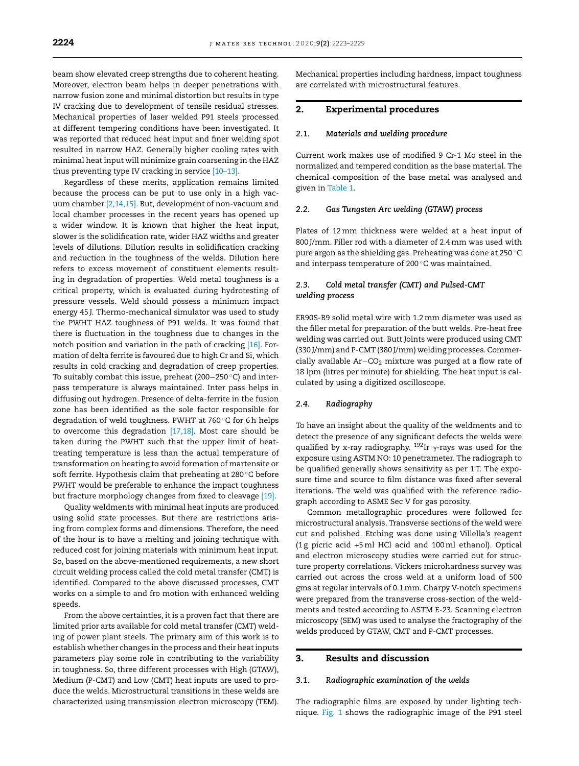beam show elevated creep strengths due to coherent heating. Moreover, electron beam helps in deeper penetrations with narrow fusion zone and minimal distortion but results in type IV cracking due to development of tensile residual stresses. Mechanical properties of laser welded P91 steels processed at different tempering conditions have been investigated. It was reported that reduced heat input and finer welding spot resulted in narrow HAZ. Generally higher cooling rates with minimal heat input will minimize grain coarsening in the HAZ thus preventing type IV cracking in service [\[10–13\].](#page-6-0)

Regardless of these merits, application remains limited because the process can be put to use only in a high vacuum chamber [\[2,14,15\].](#page-6-0) But, development of non-vacuum and local chamber processes in the recent years has opened up a wider window. It is known that higher the heat input, slower is the solidification rate, wider HAZ widths and greater levels of dilutions. Dilution results in solidification cracking and reduction in the toughness of the welds. Dilution here refers to excess movement of constituent elements resulting in degradation of properties. Weld metal toughness is a critical property, which is evaluated during hydrotesting of pressure vessels. Weld should possess a minimum impact energy 45 J. Thermo-mechanical simulator was used to study the PWHT HAZ toughness of P91 welds. It was found that there is fluctuation in the toughness due to changes in the notch position and variation in the path of cracking [\[16\].](#page-6-0) Formation of delta ferrite is favoured due to high Cr and Si, which results in cold cracking and degradation of creep properties. To suitably combat this issue, preheat (200−250 ◦C) and interpass temperature is always maintained. Inter pass helps in diffusing out hydrogen. Presence of delta-ferrite in the fusion zone has been identified as the sole factor responsible for degradation of weld toughness. PWHT at 760 ℃ for 6h helps to overcome this degradation [\[17,18\].](#page-6-0) Most care should be taken during the PWHT such that the upper limit of heattreating temperature is less than the actual temperature of transformation on heating to avoid formation of martensite or soft ferrite. Hypothesis claim that preheating at 280 ◦C before PWHT would be preferable to enhance the impact toughness but fracture morphology changes from fixed to cleavage [\[19\].](#page-6-0)

Quality weldments with minimal heat inputs are produced using solid state processes. But there are restrictions arising from complex forms and dimensions. Therefore, the need of the hour is to have a melting and joining technique with reduced cost for joining materials with minimum heat input. So, based on the above-mentioned requirements, a new short circuit welding process called the cold metal transfer (CMT) is identified. Compared to the above discussed processes, CMT works on a simple to and fro motion with enhanced welding speeds.

From the above certainties, it is a proven fact that there are limited prior arts available for cold metal transfer (CMT) welding of power plant steels. The primary aim of this work is to establish whether changes in the process and their heatinputs parameters play some role in contributing to the variability in toughness. So, three different processes with High (GTAW), Medium (P-CMT) and Low (CMT) heat inputs are used to produce the welds. Microstructural transitions in these welds are characterized using transmission electron microscopy (TEM). Mechanical properties including hardness, impact toughness are correlated with microstructural features.

# 2. Experimental procedures

#### *2.1. Materials and welding procedure*

Current work makes use of modified 9 Cr-1 Mo steel in the normalized and tempered condition as the base material. The chemical composition of the base metal was analysed and given in [Table](#page-2-0) 1.

#### *2.2. Gas Tungsten Arc welding (GTAW) process*

Plates of 12mm thickness were welded at a heat input of 800 J/mm. Filler rod with a diameter of 2.4mm was used with pure argon as the shielding gas. Preheating was done at 250 ◦C and interpass temperature of 200 ◦C was maintained.

# *2.3. Cold metal transfer (CMT) and Pulsed-CMT welding process*

ER90S-B9 solid metal wire with 1.2mm diameter was used as the filler metal for preparation of the butt welds. Pre-heat free welding was carried out. Butt Joints were produced using CMT (330 J/mm) and P-CMT (380 J/mm) welding processes.Commercially available Ar−CO<sub>2</sub> mixture was purged at a flow rate of 18 lpm (litres per minute) for shielding. The heat input is calculated by using a digitized oscilloscope.

#### *2.4. Radiography*

To have an insight about the quality of the weldments and to detect the presence of any significant defects the welds were qualified by x-ray radiography.  $^{192}$ Ir  $\gamma$ -rays was used for the exposure using ASTM NO: 10 penetrameter. The radiograph to be qualified generally shows sensitivity as per 1T. The exposure time and source to film distance was fixed after several iterations. The weld was qualified with the reference radiograph according to ASME Sec V for gas porosity.

Common metallographic procedures were followed for microstructural analysis. Transverse sections of the weld were cut and polished. Etching was done using Villella's reagent (1 g picric acid +5 ml HCl acid and 100ml ethanol). Optical and electron microscopy studies were carried out for structure property correlations. Vickers microhardness survey was carried out across the cross weld at a uniform load of 500 gms at regular intervals of 0.1mm. Charpy V-notch specimens were prepared from the transverse cross-section of the weldments and tested according to ASTM E-23. Scanning electron microscopy (SEM) was used to analyse the fractography of the welds produced by GTAW, CMT and P-CMT processes.

## 3. Results and discussion

#### *3.1. Radiographic examination of the welds*

The radiographic films are exposed by under lighting technique. [Fig.](#page-2-0) 1 shows the radiographic image of the P91 steel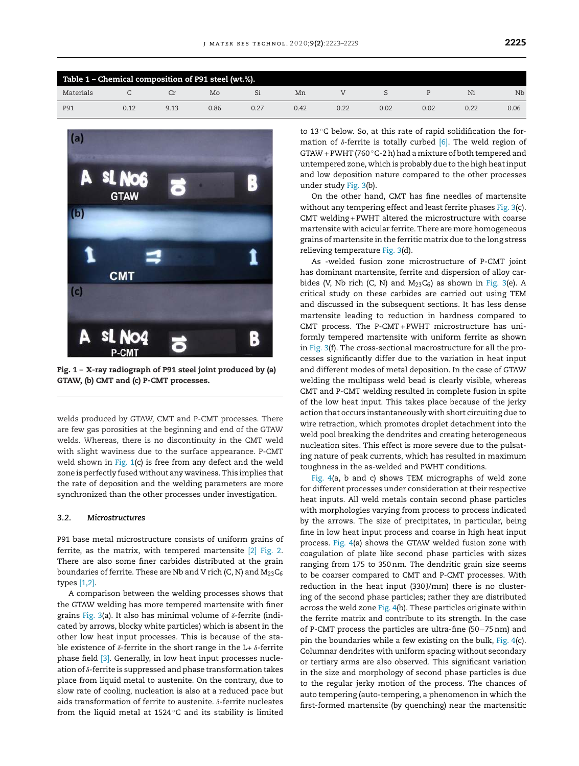<span id="page-2-0"></span>

| Table 1 - Chemical composition of P91 steel (wt.%). |      |      |      |      |      |      |      |      |      |      |
|-----------------------------------------------------|------|------|------|------|------|------|------|------|------|------|
| Materials                                           |      |      | Mo   |      | Mn   |      |      |      | N1   | Nb   |
| P91                                                 | 0.12 | 9.13 | 0.86 | 0.27 | 0.42 | 0.22 | 0.02 | 0.02 | 0.22 | 0.06 |



Fig. 1 – X-ray radiograph of P91 steel joint produced by (a) GTAW, (b) CMT and (c) P-CMT processes.

welds produced by GTAW, CMT and P-CMT processes. There are few gas porosities at the beginning and end of the GTAW welds. Whereas, there is no discontinuity in the CMT weld with slight waviness due to the surface appearance. P-CMT weld shown in Fig. 1(c) is free from any defect and the weld zone is perfectly fused without any waviness. This implies that the rate of deposition and the welding parameters are more synchronized than the other processes under investigation.

## *3.2. Microstructures*

P91 base metal microstructure consists of uniform grains of ferrite, as the matrix, with tempered martensite [\[2\]](#page-6-0) [Fig.](#page-3-0) 2. There are also some finer carbides distributed at the grain boundaries of ferrite. These are Nb and V rich (C, N) and  $M_{23}C_6$ types [\[1,2\].](#page-6-0)

A comparison between the welding processes shows that the GTAW welding has more tempered martensite with finer grains [Fig.](#page-3-0) 3(a). It also has minimal volume of  $\delta$ -ferrite (indicated by arrows, blocky white particles) which is absent in the other low heat input processes. This is because of the stable existence of  $\delta$ -ferrite in the short range in the L+  $\delta$ -ferrite phase field [\[3\].](#page-6-0) Generally, in low heat input processes nucleation of  $\delta$ -ferrite is suppressed and phase transformation takes place from liquid metal to austenite. On the contrary, due to slow rate of cooling, nucleation is also at a reduced pace but aids transformation of ferrite to austenite.  $\delta$ -ferrite nucleates from the liquid metal at 1524 ◦C and its stability is limited

to 13 ℃ below. So, at this rate of rapid solidification the formation of  $\delta$ -ferrite is totally curbed [\[6\].](#page-6-0) The weld region of GTAW + PWHT (760 $^{\circ}$ C-2h) had a mixture of both tempered and untempered zone, which is probably due to the high heatinput and low deposition nature compared to the other processes under study [Fig.](#page-3-0) 3(b).

On the other hand, CMT has fine needles of martensite without any tempering effect and least ferrite phases [Fig.](#page-3-0) 3(c). CMT welding + PWHT altered the microstructure with coarse martensite with acicular ferrite. There are more homogeneous grains of martensite in the ferritic matrix due to the long stress relieving temperature [Fig.](#page-3-0) 3(d).

As -welded fusion zone microstructure of P-CMT joint has dominant martensite, ferrite and dispersion of alloy carbides (V, Nb rich (C, N) and  $M_{23}C_6$ ) as shown in [Fig.](#page-3-0) 3(e). A critical study on these carbides are carried out using TEM and discussed in the subsequent sections. It has less dense martensite leading to reduction in hardness compared to CMT process. The P-CMT+ PWHT microstructure has uniformly tempered martensite with uniform ferrite as shown in [Fig.](#page-3-0) 3(f). The cross-sectional macrostructure for all the processes significantly differ due to the variation in heat input and different modes of metal deposition. In the case of GTAW welding the multipass weld bead is clearly visible, whereas CMT and P-CMT welding resulted in complete fusion in spite of the low heat input. This takes place because of the jerky action that occurs instantaneously with short circuiting due to wire retraction, which promotes droplet detachment into the weld pool breaking the dendrites and creating heterogeneous nucleation sites. This effect is more severe due to the pulsating nature of peak currents, which has resulted in maximum toughness in the as-welded and PWHT conditions.

[Fig.](#page-4-0) 4(a, b and c) shows TEM micrographs of weld zone for different processes under consideration at their respective heat inputs. All weld metals contain second phase particles with morphologies varying from process to process indicated by the arrows. The size of precipitates, in particular, being fine in low heat input process and coarse in high heat input process. [Fig.](#page-4-0) 4(a) shows the GTAW welded fusion zone with coagulation of plate like second phase particles with sizes ranging from 175 to 350nm. The dendritic grain size seems to be coarser compared to CMT and P-CMT processes. With reduction in the heat input (330 J/mm) there is no clustering of the second phase particles; rather they are distributed across the weld zone [Fig.](#page-4-0) 4(b). These particles originate within the ferrite matrix and contribute to its strength. In the case of P-CMT process the particles are ultra-fine (50−75nm) and pin the boundaries while a few existing on the bulk, [Fig.](#page-4-0) 4(c). Columnar dendrites with uniform spacing without secondary or tertiary arms are also observed. This significant variation in the size and morphology of second phase particles is due to the regular jerky motion of the process. The chances of auto tempering (auto-tempering, a phenomenon in which the first-formed martensite (by quenching) near the martensitic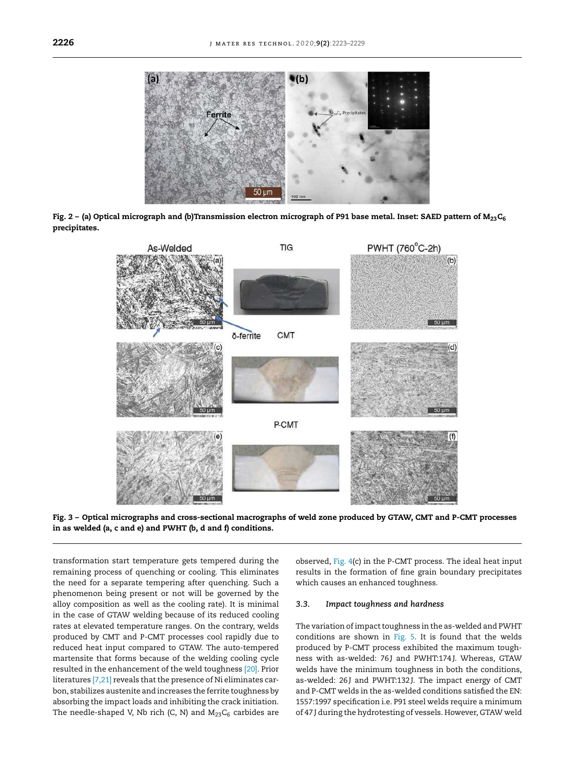<span id="page-3-0"></span>

Fig. 2 - (a) Optical micrograph and (b)Transmission electron micrograph of P91 base metal. Inset: SAED pattern of  $M_{23}C_6$ precipitates.



Fig. 3 – Optical micrographs and cross-sectional macrographs of weld zone produced by GTAW, CMT and P-CMT processes in as welded (a, c and e) and PWHT (b, d and f) conditions.

transformation start temperature gets tempered during the remaining process of quenching or cooling. This eliminates the need for a separate tempering after quenching. Such a phenomenon being present or not will be governed by the alloy composition as well as the cooling rate). It is minimal in the case of GTAW welding because of its reduced cooling rates at elevated temperature ranges. On the contrary, welds produced by CMT and P-CMT processes cool rapidly due to reduced heat input compared to GTAW. The auto-tempered martensite that forms because of the welding cooling cycle resulted in the enhancement of the weld toughness [\[20\].](#page-6-0) Prior literatures [\[7,21\]](#page-6-0) reveals that the presence of Ni eliminates carbon, stabilizes austenite and increases the ferrite toughness by absorbing the impact loads and inhibiting the crack initiation. The needle-shaped V, Nb rich (C, N) and  $M_{23}C_6$  carbides are observed, [Fig.](#page-4-0) 4(c) in the P-CMT process. The ideal heat input results in the formation of fine grain boundary precipitates which causes an enhanced toughness.

#### *3.3. Impact toughness and hardness*

The variation of impact toughness in the as-welded and PWHT conditions are shown in [Fig.](#page-4-0) 5. It is found that the welds produced by P-CMT process exhibited the maximum toughness with as-welded: 76J and PWHT:174J. Whereas, GTAW welds have the minimum toughness in both the conditions, as-welded: 26J and PWHT:132J. The impact energy of CMT and P-CMT welds in the as-welded conditions satisfied the EN: 1557:1997 specification i.e. P91 steel welds require a minimum of 47 J during the hydrotesting of vessels. However, GTAW weld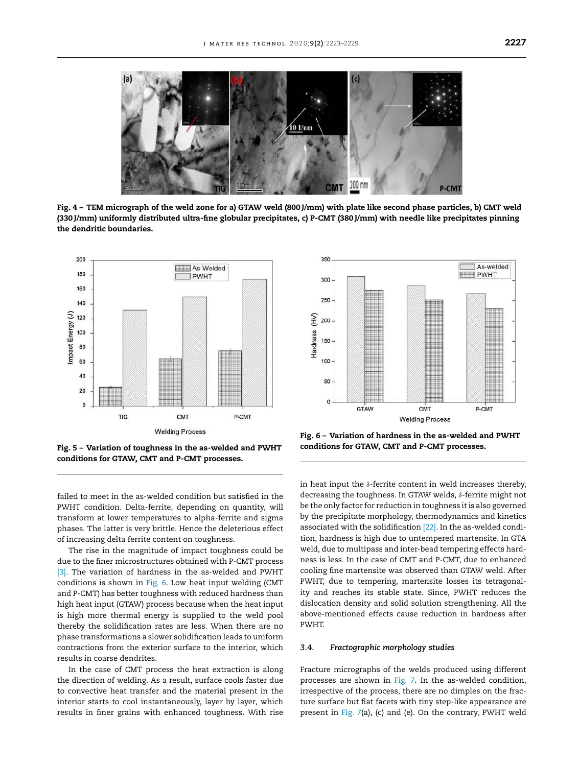<span id="page-4-0"></span>

Fig. 4 – TEM micrograph of the weld zone for a) GTAW weld (800 J/mm) with plate like second phase particles, b) CMT weld (330 J/mm) uniformly distributed ultra-fine globular precipitates, c) P-CMT (380 J/mm) with needle like precipitates pinning the dendritic boundaries.



Fig. 5 – Variation of toughness in the as-welded and PWHT conditions for GTAW, CMT and P-CMT processes.

failed to meet in the as-welded condition but satisfied in the PWHT condition. Delta-ferrite, depending on quantity, will transform at lower temperatures to alpha-ferrite and sigma phases. The latter is very brittle. Hence the deleterious effect of increasing delta ferrite content on toughness.

The rise in the magnitude of impact toughness could be due to the finer microstructures obtained with P-CMT process [\[3\].](#page-6-0) The variation of hardness in the as-welded and PWHT conditions is shown in Fig. 6. Low heat input welding (CMT and P-CMT) has better toughness with reduced hardness than high heat input (GTAW) process because when the heat input is high more thermal energy is supplied to the weld pool thereby the solidification rates are less. When there are no phase transformations a slower solidification leads to uniform contractions from the exterior surface to the interior, which results in coarse dendrites.

In the case of CMT process the heat extraction is along the direction of welding. As a result, surface cools faster due to convective heat transfer and the material present in the interior starts to cool instantaneously, layer by layer, which results in finer grains with enhanced toughness. With rise



Fig. 6 – Variation of hardness in the as-welded and PWHT conditions for GTAW, CMT and P-CMT processes.

in heat input the  $\delta$ -ferrite content in weld increases thereby, decreasing the toughness. In GTAW welds,  $\delta$ -ferrite might not be the only factor for reduction in toughness it is also governed by the precipitate morphology, thermodynamics and kinetics associated with the solidification [\[22\].](#page-6-0) In the as-welded condition, hardness is high due to untempered martensite. In GTA weld, due to multipass and inter-bead tempering effects hardness is less. In the case of CMT and P-CMT, due to enhanced cooling fine martensite was observed than GTAW weld. After PWHT, due to tempering, martensite losses its tetragonality and reaches its stable state. Since, PWHT reduces the dislocation density and solid solution strengthening. All the above-mentioned effects cause reduction in hardness after PWHT.

#### *3.4. Fractographic morphology studies*

Fracture micrographs of the welds produced using different processes are shown in [Fig.](#page-5-0) 7. In the as-welded condition, irrespective of the process, there are no dimples on the fracture surface but flat facets with tiny step-like appearance are present in [Fig.](#page-5-0) 7(a), (c) and (e). On the contrary, PWHT weld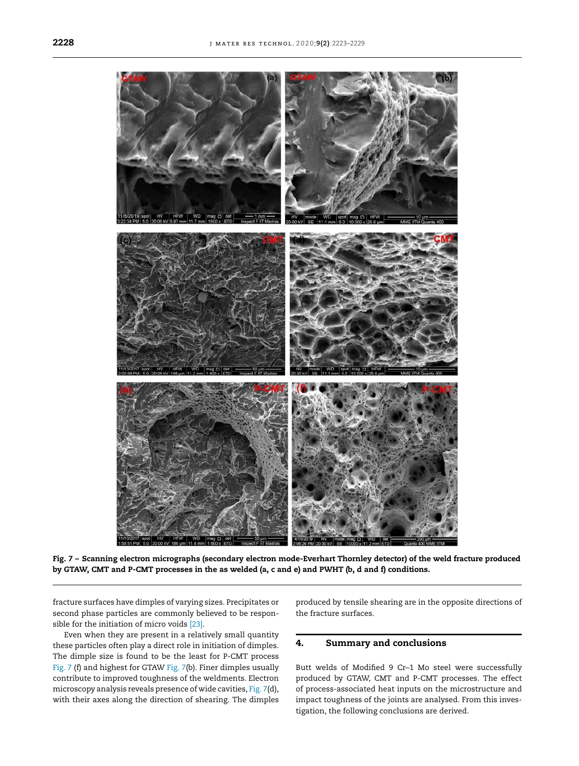<span id="page-5-0"></span>

Fig. 7 – Scanning electron micrographs (secondary electron mode-Everhart Thornley detector) of the weld fracture produced by GTAW, CMT and P-CMT processes in the as welded (a, c and e) and PWHT (b, d and f) conditions.

fracture surfaces have dimples of varying sizes. Precipitates or second phase particles are commonly believed to be responsible for the initiation of micro voids [\[23\].](#page-6-0)

Even when they are present in a relatively small quantity these particles often play a direct role in initiation of dimples. The dimple size is found to be the least for P-CMT process Fig. 7 (f) and highest for GTAW Fig. 7(b). Finer dimples usually contribute to improved toughness of the weldments. Electron microscopy analysis reveals presence of wide cavities, Fig. 7(d), with their axes along the direction of shearing. The dimples produced by tensile shearing are in the opposite directions of the fracture surfaces.

# 4. Summary and conclusions

Butt welds of Modified 9 Cr–1 Mo steel were successfully produced by GTAW, CMT and P-CMT processes. The effect of process-associated heat inputs on the microstructure and impact toughness of the joints are analysed. From this investigation, the following conclusions are derived.